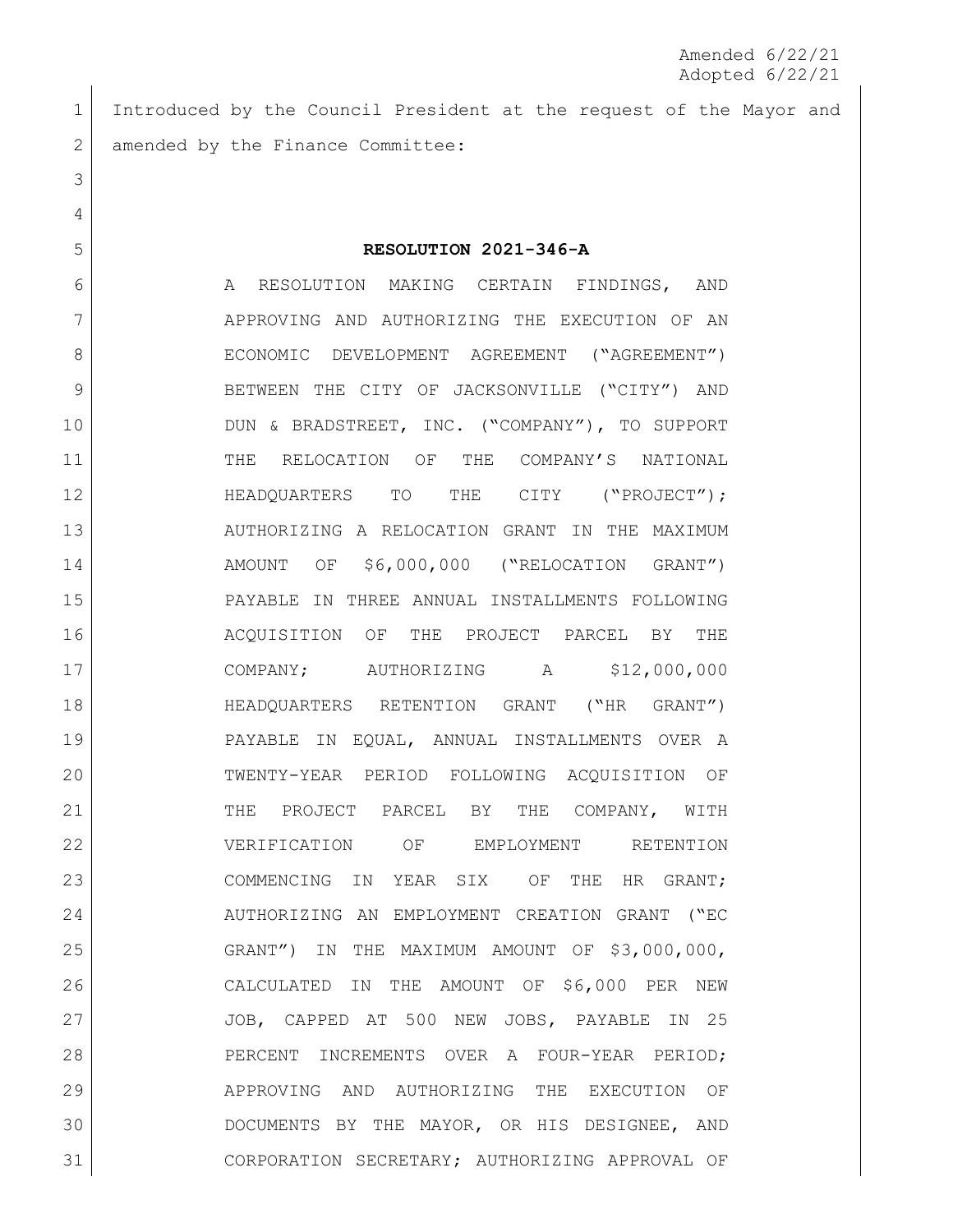Introduced by the Council President at the request of the Mayor and 2 amended by the Finance Committee:

## **RESOLUTION 2021-346-A**

6 A RESOLUTION MAKING CERTAIN FINDINGS, AND APPROVING AND AUTHORIZING THE EXECUTION OF AN 8 ECONOMIC DEVELOPMENT AGREEMENT ("AGREEMENT") BETWEEN THE CITY OF JACKSONVILLE ("CITY") AND DUN & BRADSTREET, INC. ("COMPANY"), TO SUPPORT THE RELOCATION OF THE COMPANY'S NATIONAL **HEADQUARTERS** TO THE CITY ("PROJECT"); AUTHORIZING A RELOCATION GRANT IN THE MAXIMUM AMOUNT OF \$6,000,000 ("RELOCATION GRANT") PAYABLE IN THREE ANNUAL INSTALLMENTS FOLLOWING ACQUISITION OF THE PROJECT PARCEL BY THE COMPANY; AUTHORIZING A \$12,000,000 HEADQUARTERS RETENTION GRANT ("HR GRANT") PAYABLE IN EQUAL, ANNUAL INSTALLMENTS OVER A TWENTY-YEAR PERIOD FOLLOWING ACQUISITION OF 21 THE PROJECT PARCEL BY THE COMPANY, WITH VERIFICATION OF EMPLOYMENT RETENTION 23 COMMENCING IN YEAR SIX OF THE HR GRANT; AUTHORIZING AN EMPLOYMENT CREATION GRANT ("EC GRANT") IN THE MAXIMUM AMOUNT OF \$3,000,000, CALCULATED IN THE AMOUNT OF \$6,000 PER NEW JOB, CAPPED AT 500 NEW JOBS, PAYABLE IN 25 28 PERCENT INCREMENTS OVER A FOUR-YEAR PERIOD; APPROVING AND AUTHORIZING THE EXECUTION OF DOCUMENTS BY THE MAYOR, OR HIS DESIGNEE, AND CORPORATION SECRETARY; AUTHORIZING APPROVAL OF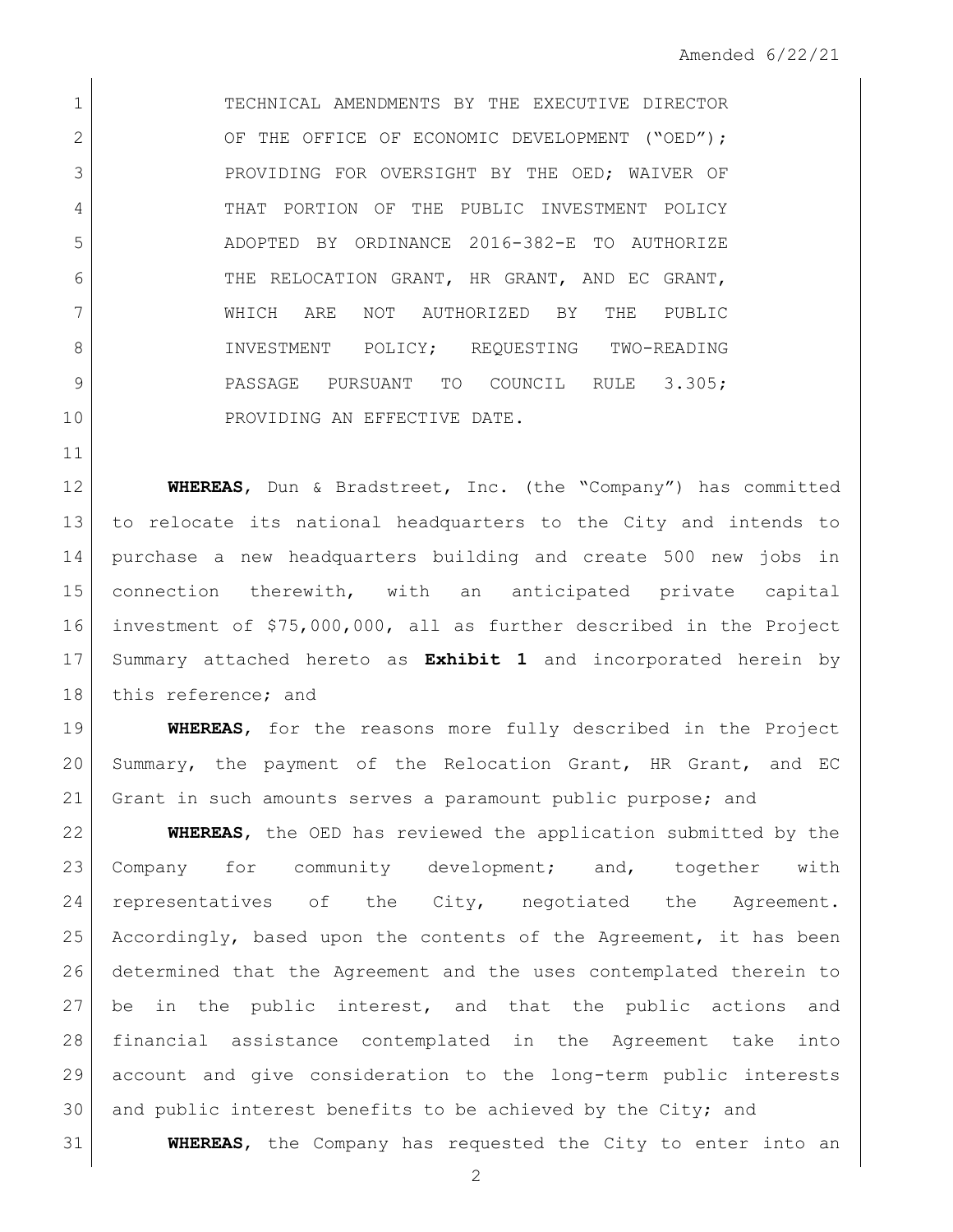TECHNICAL AMENDMENTS BY THE EXECUTIVE DIRECTOR 2 OF THE OFFICE OF ECONOMIC DEVELOPMENT ("OED"); 3 PROVIDING FOR OVERSIGHT BY THE OED; WAIVER OF 4 THAT PORTION OF THE PUBLIC INVESTMENT POLICY ADOPTED BY ORDINANCE 2016-382-E TO AUTHORIZE 6 THE RELOCATION GRANT, HR GRANT, AND EC GRANT, WHICH ARE NOT AUTHORIZED BY THE PUBLIC 8 INVESTMENT POLICY; REQUESTING TWO-READING 9 PASSAGE PURSUANT TO COUNCIL RULE 3.305; 10 PROVIDING AN EFFECTIVE DATE.

 **WHEREAS**, Dun & Bradstreet, Inc. (the "Company") has committed to relocate its national headquarters to the City and intends to purchase a new headquarters building and create 500 new jobs in connection therewith, with an anticipated private capital investment of \$75,000,000, all as further described in the Project Summary attached hereto as **Exhibit 1** and incorporated herein by 18 this reference; and

 **WHEREAS**, for the reasons more fully described in the Project Summary, the payment of the Relocation Grant, HR Grant, and EC 21 Grant in such amounts serves a paramount public purpose; and

 **WHEREAS**, the OED has reviewed the application submitted by the Company for community development; and, together with representatives of the City, negotiated the Agreement. 25 Accordingly, based upon the contents of the Agreement, it has been determined that the Agreement and the uses contemplated therein to 27 | be in the public interest, and that the public actions and financial assistance contemplated in the Agreement take into account and give consideration to the long-term public interests 30 and public interest benefits to be achieved by the City; and

**WHEREAS**, the Company has requested the City to enter into an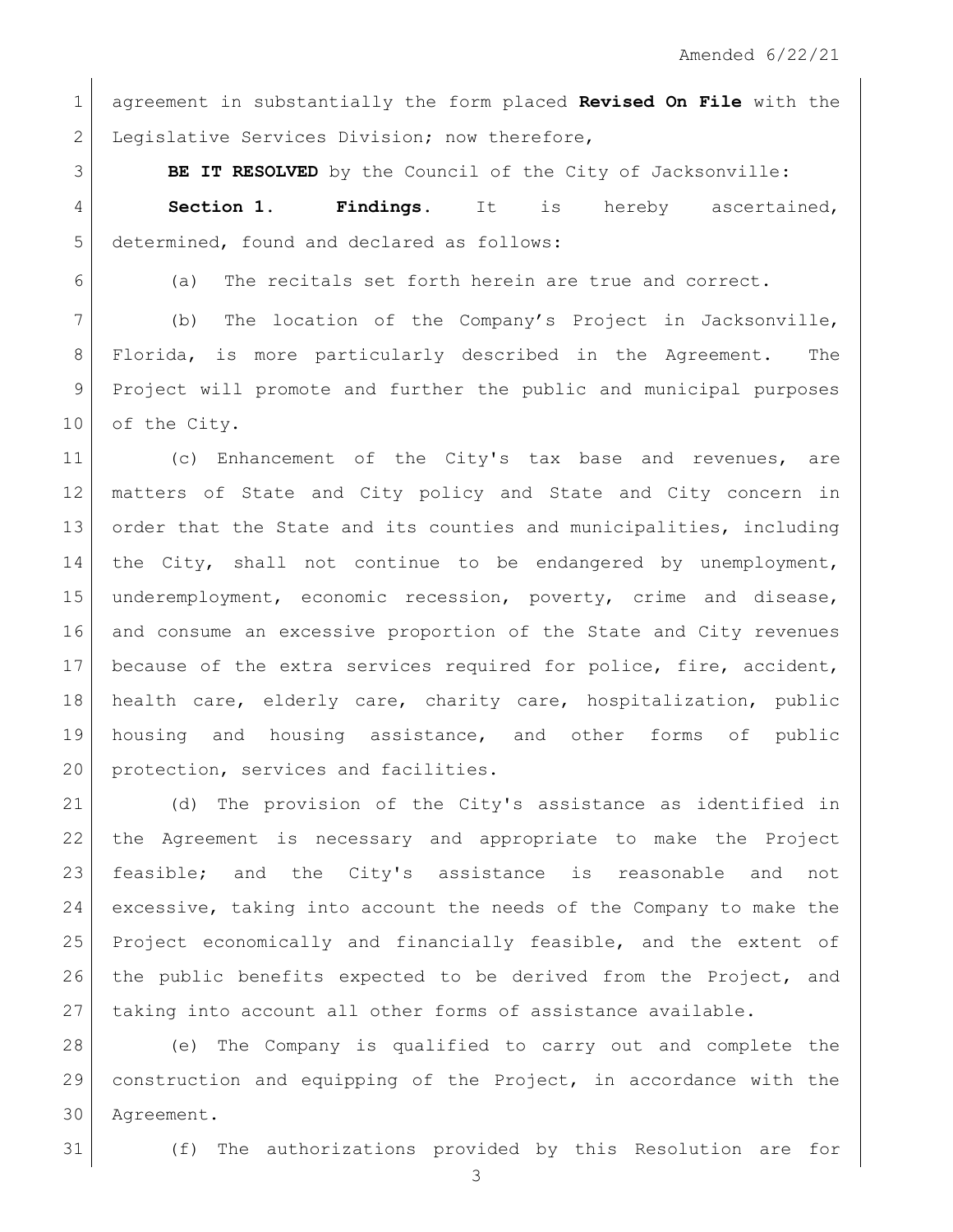agreement in substantially the form placed **Revised On File** with the 2 Legislative Services Division; now therefore,

**BE IT RESOLVED** by the Council of the City of Jacksonville:

 **Section 1. Findings.** It is hereby ascertained, determined, found and declared as follows:

6 (a) The recitals set forth herein are true and correct.

7 (b) The location of the Company's Project in Jacksonville, 8 Florida, is more particularly described in the Agreement. The Project will promote and further the public and municipal purposes 10 of the City.

11 (c) Enhancement of the City's tax base and revenues, are matters of State and City policy and State and City concern in 13 order that the State and its counties and municipalities, including the City, shall not continue to be endangered by unemployment, underemployment, economic recession, poverty, crime and disease, and consume an excessive proportion of the State and City revenues 17 because of the extra services required for police, fire, accident, health care, elderly care, charity care, hospitalization, public housing and housing assistance, and other forms of public 20 protection, services and facilities.

 (d) The provision of the City's assistance as identified in the Agreement is necessary and appropriate to make the Project feasible; and the City's assistance is reasonable and not excessive, taking into account the needs of the Company to make the Project economically and financially feasible, and the extent of 26 the public benefits expected to be derived from the Project, and 27 taking into account all other forms of assistance available.

 (e) The Company is qualified to carry out and complete the construction and equipping of the Project, in accordance with the Agreement.

(f) The authorizations provided by this Resolution are for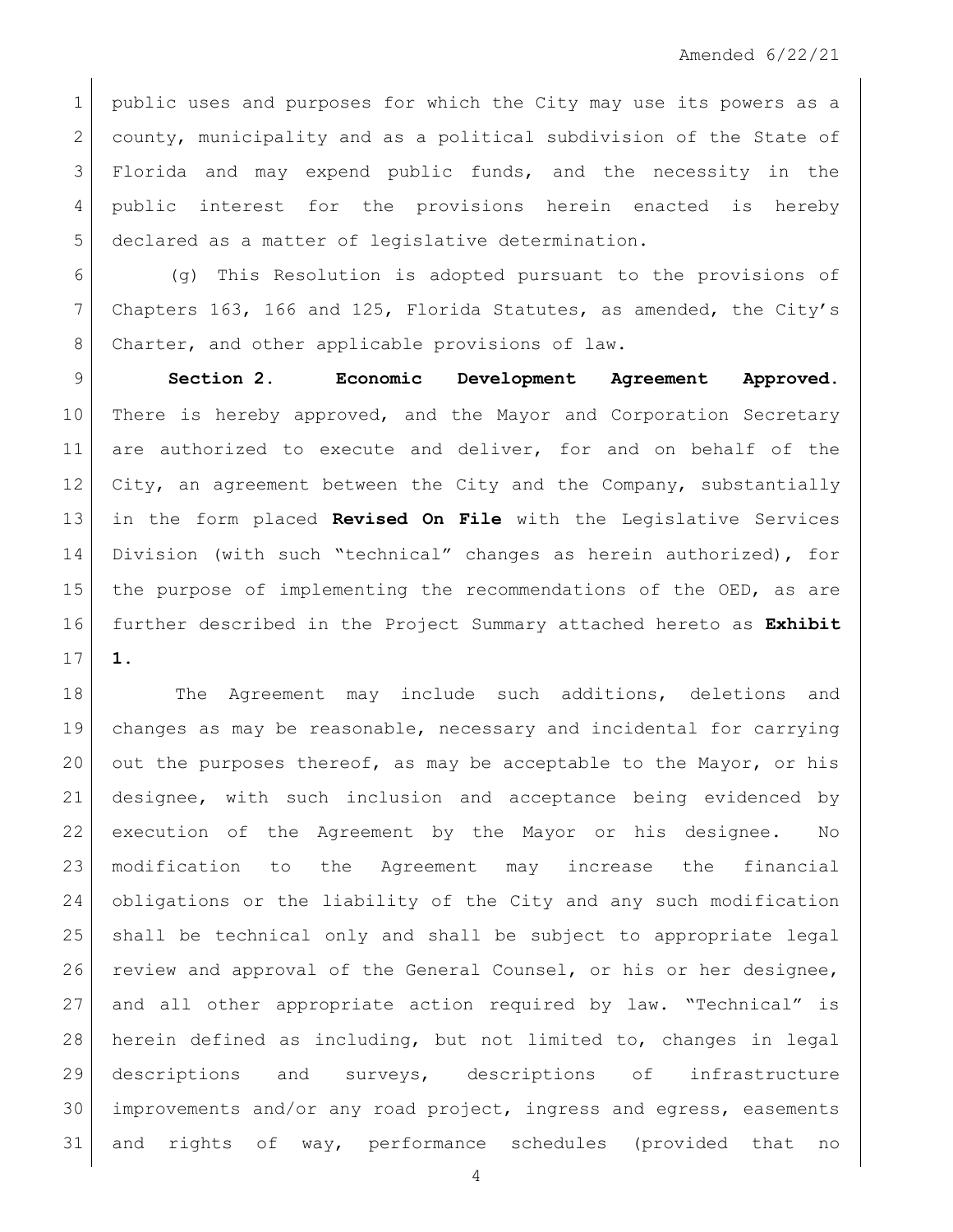1 | public uses and purposes for which the City may use its powers as a 2 county, municipality and as a political subdivision of the State of Florida and may expend public funds, and the necessity in the 4 public interest for the provisions herein enacted is hereby declared as a matter of legislative determination.

 (g) This Resolution is adopted pursuant to the provisions of Chapters 163, 166 and 125, Florida Statutes, as amended, the City's 8 Charter, and other applicable provisions of law.

 **Section 2. Economic Development Agreement Approved.** 10 There is hereby approved, and the Mayor and Corporation Secretary 11 are authorized to execute and deliver, for and on behalf of the 12 City, an agreement between the City and the Company, substantially in the form placed **Revised On File** with the Legislative Services Division (with such "technical" changes as herein authorized), for the purpose of implementing the recommendations of the OED, as are further described in the Project Summary attached hereto as **Exhibit 1**.

18 The Agreement may include such additions, deletions and changes as may be reasonable, necessary and incidental for carrying 20 out the purposes thereof, as may be acceptable to the Mayor, or his designee, with such inclusion and acceptance being evidenced by execution of the Agreement by the Mayor or his designee. No modification to the Agreement may increase the financial obligations or the liability of the City and any such modification shall be technical only and shall be subject to appropriate legal review and approval of the General Counsel, or his or her designee, and all other appropriate action required by law. "Technical" is herein defined as including, but not limited to, changes in legal descriptions and surveys, descriptions of infrastructure improvements and/or any road project, ingress and egress, easements and rights of way, performance schedules (provided that no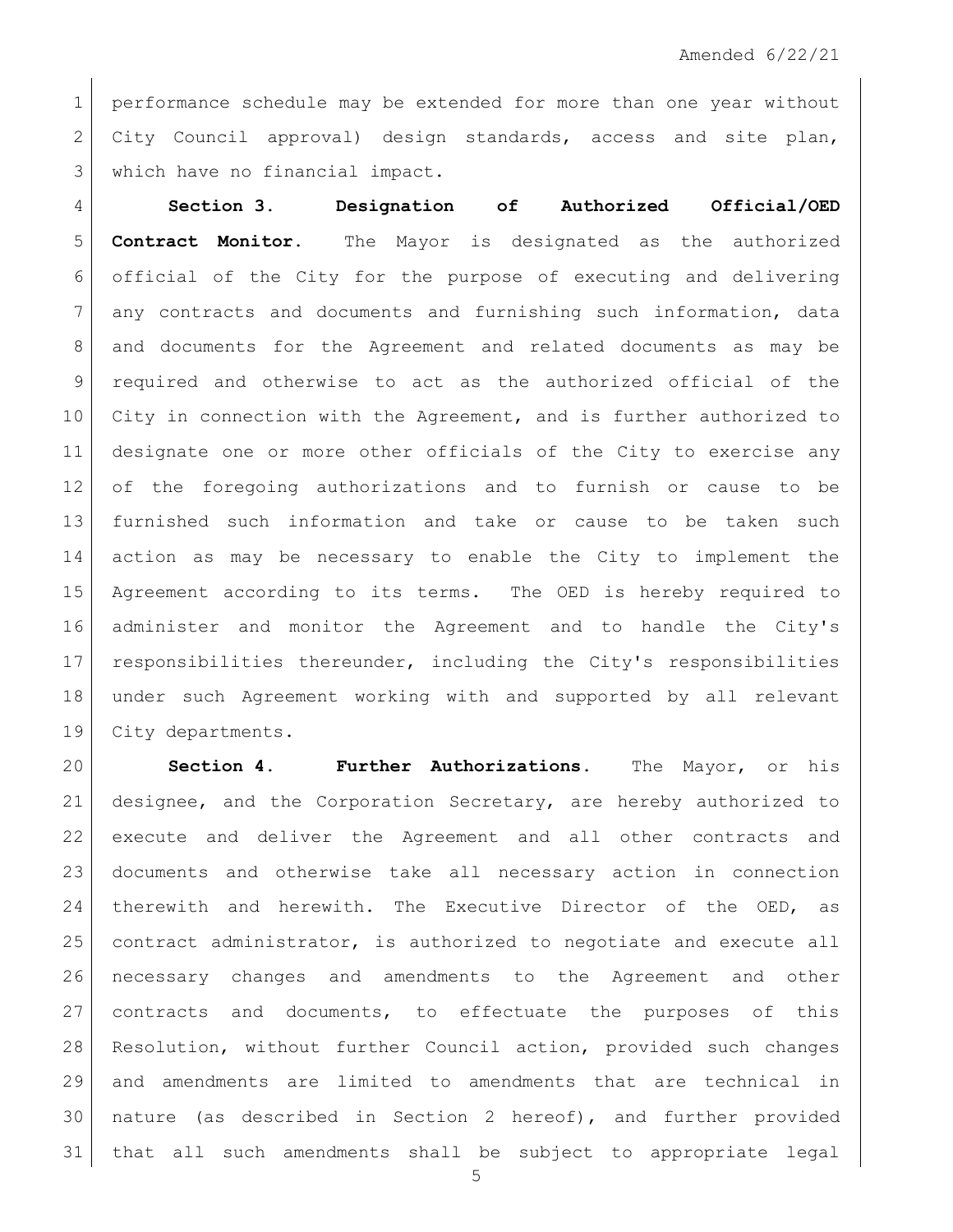1 | performance schedule may be extended for more than one year without 2 City Council approval) design standards, access and site plan, 3 which have no financial impact.

 **Section 3. Designation of Authorized Official/OED Contract Monitor.** The Mayor is designated as the authorized official of the City for the purpose of executing and delivering 7 any contracts and documents and furnishing such information, data and documents for the Agreement and related documents as may be required and otherwise to act as the authorized official of the City in connection with the Agreement, and is further authorized to designate one or more other officials of the City to exercise any of the foregoing authorizations and to furnish or cause to be furnished such information and take or cause to be taken such action as may be necessary to enable the City to implement the Agreement according to its terms. The OED is hereby required to administer and monitor the Agreement and to handle the City's responsibilities thereunder, including the City's responsibilities under such Agreement working with and supported by all relevant 19 City departments.

 **Section 4. Further Authorizations.** The Mayor, or his designee, and the Corporation Secretary, are hereby authorized to execute and deliver the Agreement and all other contracts and documents and otherwise take all necessary action in connection therewith and herewith. The Executive Director of the OED, as 25 contract administrator, is authorized to negotiate and execute all necessary changes and amendments to the Agreement and other contracts and documents, to effectuate the purposes of this Resolution, without further Council action, provided such changes and amendments are limited to amendments that are technical in nature (as described in Section 2 hereof), and further provided that all such amendments shall be subject to appropriate legal